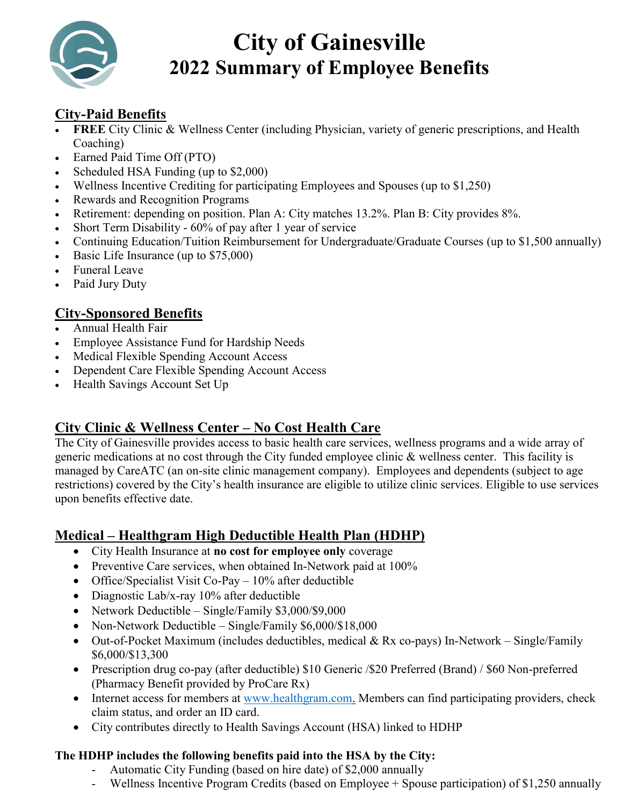

# **City of Gainesville 2022 Summary of Employee Benefits**

# **City-Paid Benefits**

- **FREE** City Clinic & Wellness Center (including Physician, variety of generic prescriptions, and Health Coaching)
- Earned Paid Time Off (PTO)
- Scheduled HSA Funding (up to \$2,000)
- Wellness Incentive Crediting for participating Employees and Spouses (up to \$1,250)
- Rewards and Recognition Programs
- Retirement: depending on position. Plan A: City matches 13.2%. Plan B: City provides 8%.
- Short Term Disability 60% of pay after 1 year of service
- Continuing Education/Tuition Reimbursement for Undergraduate/Graduate Courses (up to \$1,500 annually)
- Basic Life Insurance (up to \$75,000)
- Funeral Leave
- Paid Jury Duty

## **City-Sponsored Benefits**

- Annual Health Fair
- Employee Assistance Fund for Hardship Needs
- Medical Flexible Spending Account Access
- Dependent Care Flexible Spending Account Access
- Health Savings Account Set Up

## **City Clinic & Wellness Center – No Cost Health Care**

The City of Gainesville provides access to basic health care services, wellness programs and a wide array of generic medications at no cost through the City funded employee clinic & wellness center. This facility is managed by CareATC (an on-site clinic management company). Employees and dependents (subject to age restrictions) covered by the City's health insurance are eligible to utilize clinic services. Eligible to use services upon benefits effective date.

## **Medical – Healthgram High Deductible Health Plan (HDHP)**

- City Health Insurance at **no cost for employee only** coverage
- Preventive Care services, when obtained In-Network paid at 100%
- Office/Specialist Visit Co-Pay 10% after deductible
- Diagnostic Lab/x-ray 10% after deductible
- Network Deductible Single/Family \$3,000/\$9,000
- Non-Network Deductible Single/Family \$6,000/\$18,000
- Out-of-Pocket Maximum (includes deductibles, medical & Rx co-pays) In-Network Single/Family \$6,000/\$13,300
- Prescription drug co-pay (after deductible) \$10 Generic /\$20 Preferred (Brand) / \$60 Non-preferred (Pharmacy Benefit provided by ProCare Rx)
- Internet access for members at [www.healthgram.com.](http://www.healthgram.com/) Members can find participating providers, check claim status, and order an ID card.
- City contributes directly to Health Savings Account (HSA) linked to HDHP

#### **The HDHP includes the following benefits paid into the HSA by the City:**

- Automatic City Funding (based on hire date) of \$2,000 annually
- Wellness Incentive Program Credits (based on Employee + Spouse participation) of \$1,250 annually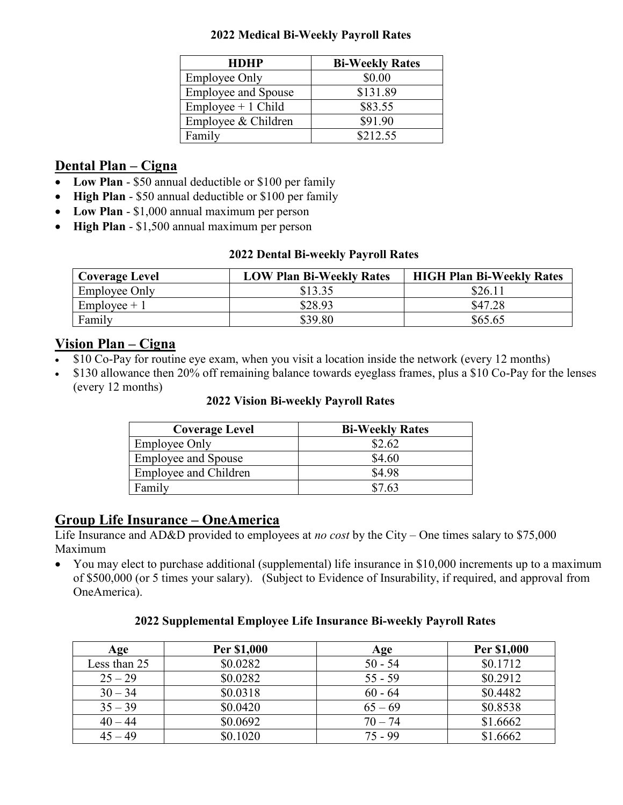#### **2022 Medical Bi-Weekly Payroll Rates**

| <b>HDHP</b>                | <b>Bi-Weekly Rates</b> |
|----------------------------|------------------------|
| <b>Employee Only</b>       | \$0.00                 |
| <b>Employee and Spouse</b> | \$131.89               |
| $Employee + 1 Child$       | \$83.55                |
| Employee & Children        | \$91.90                |
| Family                     | \$212.55               |

## **Dental Plan – Cigna**

- Low Plan \$50 annual deductible or \$100 per family
- **High Plan**  \$50 annual deductible or \$100 per family
- **Low Plan** \$1,000 annual maximum per person
- **High Plan** \$1,500 annual maximum per person

#### **2022 Dental Bi-weekly Payroll Rates**

| <b>Coverage Level</b> | <b>LOW Plan Bi-Weekly Rates</b> | <b>HIGH Plan Bi-Weekly Rates</b> |
|-----------------------|---------------------------------|----------------------------------|
| <b>Employee Only</b>  | \$13.35                         | \$26.1 <sub>1</sub>              |
| $Employee + 1$        | \$28.93                         | \$47.28                          |
| Family                | \$39.80                         | \$65.65                          |

## **Vision Plan – Cigna**

- \$10 Co-Pay for routine eye exam, when you visit a location inside the network (every 12 months)
- \$130 allowance then 20% off remaining balance towards eyeglass frames, plus a \$10 Co-Pay for the lenses (every 12 months)

#### **2022 Vision Bi-weekly Payroll Rates**

| <b>Coverage Level</b>      | <b>Bi-Weekly Rates</b> |
|----------------------------|------------------------|
| <b>Employee Only</b>       | \$2.62                 |
| <b>Employee and Spouse</b> | \$4.60                 |
| Employee and Children      | \$4.98                 |
| Family                     | \$7.63                 |

# **Group Life Insurance – OneAmerica**

Life Insurance and AD&D provided to employees at *no cost* by the City – One times salary to \$75,000 Maximum

• You may elect to purchase additional (supplemental) life insurance in \$10,000 increments up to a maximum of \$500,000 (or 5 times your salary). (Subject to Evidence of Insurability, if required, and approval from OneAmerica).

#### **2022 Supplemental Employee Life Insurance Bi-weekly Payroll Rates**

| Age          | Per \$1,000 | Age       | Per \$1,000 |
|--------------|-------------|-----------|-------------|
| Less than 25 | \$0.0282    | $50 - 54$ | \$0.1712    |
| $25 - 29$    | \$0.0282    | $55 - 59$ | \$0.2912    |
| $30 - 34$    | \$0.0318    | $60 - 64$ | \$0.4482    |
| $35 - 39$    | \$0.0420    | $65 - 69$ | \$0.8538    |
| $40 - 44$    | \$0.0692    | $70 - 74$ | \$1.6662    |
| $45 - 49$    | \$0.1020    | $75 - 99$ | \$1.6662    |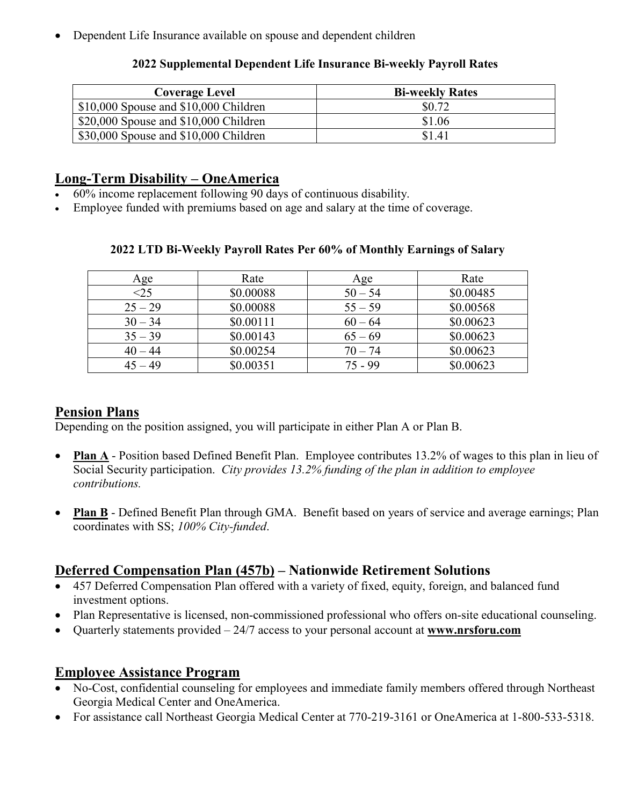• Dependent Life Insurance available on spouse and dependent children

| <b>Coverage Level</b>                   | <b>Bi-weekly Rates</b> |
|-----------------------------------------|------------------------|
| $$10,000$ Spouse and $$10,000$ Children | \$0.72                 |
| $$20,000$ Spouse and $$10,000$ Children | \$1.06                 |
| \$30,000 Spouse and \$10,000 Children   | \$1.41                 |

#### **2022 Supplemental Dependent Life Insurance Bi-weekly Payroll Rates**

## **Long-Term Disability – OneAmerica**

- 60% income replacement following 90 days of continuous disability.
- Employee funded with premiums based on age and salary at the time of coverage.

| Age       | Rate      | Age       | Rate      |
|-----------|-----------|-----------|-----------|
| $<$ 25    | \$0.00088 | $50 - 54$ | \$0.00485 |
| $25 - 29$ | \$0.00088 | $55 - 59$ | \$0.00568 |
| $30 - 34$ | \$0.00111 | $60 - 64$ | \$0.00623 |
| $35 - 39$ | \$0.00143 | $65 - 69$ | \$0.00623 |
| $40 - 44$ | \$0.00254 | $70 - 74$ | \$0.00623 |
| $45 - 49$ | \$0.00351 | $75 - 99$ | \$0.00623 |

#### **2022 LTD Bi-Weekly Payroll Rates Per 60% of Monthly Earnings of Salary**

#### **Pension Plans**

Depending on the position assigned, you will participate in either Plan A or Plan B.

- **Plan A** Position based Defined Benefit Plan. Employee contributes 13.2% of wages to this plan in lieu of Social Security participation. *City provides 13.2% funding of the plan in addition to employee contributions.*
- **Plan B** Defined Benefit Plan through GMA. Benefit based on years of service and average earnings; Plan coordinates with SS; *100% City-funded*.

## **Deferred Compensation Plan (457b) – Nationwide Retirement Solutions**

- 457 Deferred Compensation Plan offered with a variety of fixed, equity, foreign, and balanced fund investment options.
- Plan Representative is licensed, non-commissioned professional who offers on-site educational counseling.
- Quarterly statements provided 24/7 access to your personal account at **[www.nrsforu.com](http://www.nrsforu.com/)**

#### **Employee Assistance Program**

- No-Cost, confidential counseling for employees and immediate family members offered through Northeast Georgia Medical Center and OneAmerica.
- For assistance call Northeast Georgia Medical Center at 770-219-3161 or OneAmerica at 1-800-533-5318.